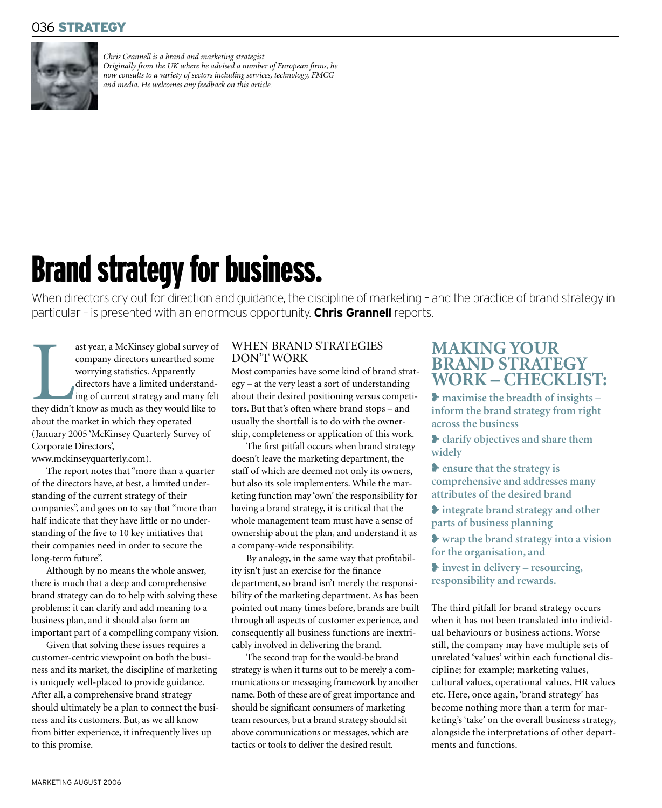### 036 STRATEGY



*Chris Grannell is a brand and marketing strategist. Originally from the UK where he advised a number of European firms, he now consults to a variety of sectors including services, technology, FMCG* and media. He welcomes any feedback on this article.

# Brand strategy for business.

When directors cry out for direction and guidance, the discipline of marketing - and the practice of brand strategy in particular – is presented with an enormous opportunity. **Chris Grannell**reports.

ast year, a McKinsey global survey o<br>
company directors unearthed some<br>
worrying statistics. Apparently<br>
directors have a limited understand-<br>
ing of current strategy and many fel<br>
they didn't know as much as they would li ast year, a McKinsey global survey of company directors unearthed some worrying statistics. Apparently directors have a limited understanding of current strategy and many felt about the market in which they operated (January 2005 'McKinsey Quarterly Survey of Corporate Directors',

www.mckinseyquarterly.com).

The report notes that "more than a quarter of the directors have, at best, a limited understanding of the current strategy of their companies", and goes on to say that "more than half indicate that they have little or no understanding of the five to 10 key initiatives that their companies need in order to secure the long-term future".

Although by no means the whole answer, there is much that a deep and comprehensive brand strategy can do to help with solving these problems: it can clarify and add meaning to a business plan, and it should also form an important part of a compelling company vision.

Given that solving these issues requires a customer-centric viewpoint on both the business and its market, the discipline of marketing is uniquely well-placed to provide guidance. After all, a comprehensive brand strategy should ultimately be a plan to connect the business and its customers. But, as we all know from bitter experience, it infrequently lives up to this promise.

#### WHEN BRAND STRATEGIES DON'T WORK

Most companies have some kind of brand strategy – at the very least a sort of understanding about their desired positioning versus competitors. But that's often where brand stops – and usually the shortfall is to do with the ownership, completeness or application of this work.

The first pitfall occurs when brand strategy doesn't leave the marketing department, the staff of which are deemed not only its owners, but also its sole implementers. While the marketing function may 'own' the responsibility for having a brand strategy, it is critical that the whole management team must have a sense of ownership about the plan, and understand it as a company-wide responsibility.

By analogy, in the same way that profitability isn't just an exercise for the finance department, so brand isn't merely the responsibility of the marketing department. As has been pointed out many times before, brands are built through all aspects of customer experience, and consequently all business functions are inextricably involved in delivering the brand.

The second trap for the would-be brand strategy is when it turns out to be merely a communications or messaging framework by another name. Both of these are of great importance and should be significant consumers of marketing team resources, but a brand strategy should sit above communications or messages, which are tactics or tools to deliver the desired result.

## **MAKING YOUR BRAND STRATEGY WORK – CHECKLIST:**

❥ **maximise the breadth of insights – inform the brand strategy from right across the business**

❥ **clarify objectives and share them widely**

❥ **ensure that the strategy is comprehensive and addresses many attributes of the desired brand**

❥ **integrate brand strategy and other parts of business planning**

❥ **wrap the brand strategy into a vision for the organisation, and**

❥ **invest in delivery – resourcing, responsibility and rewards.**

The third pitfall for brand strategy occurs when it has not been translated into individual behaviours or business actions. Worse still, the company may have multiple sets of unrelated 'values' within each functional discipline; for example; marketing values, cultural values, operational values, HR values etc. Here, once again, 'brand strategy' has become nothing more than a term for marketing's 'take' on the overall business strategy, alongside the interpretations of other departments and functions.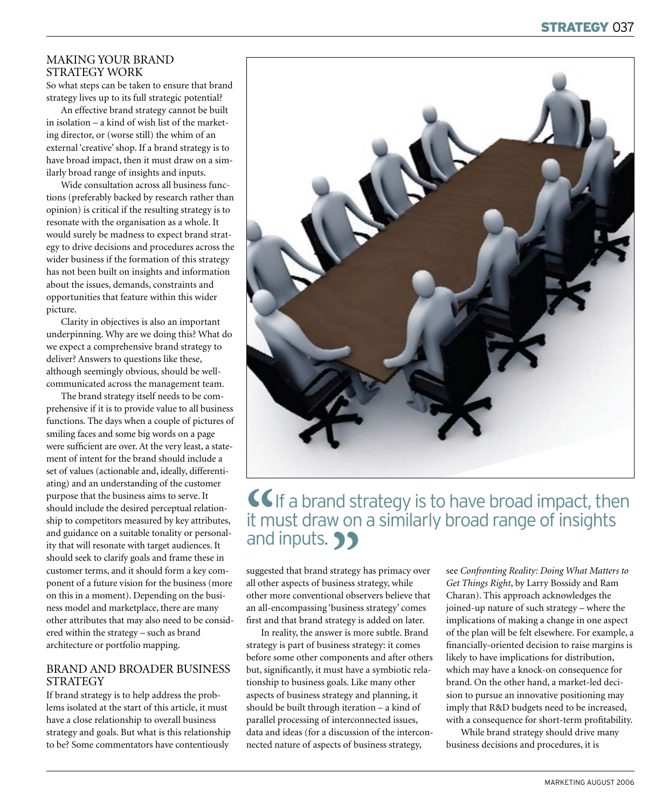#### MAKING YOUR BRAND STRATEGY WORK

So what steps can be taken to ensure that brand strategy lives up to its full strategic potential?

An effective brand strategy cannot be built in isolation – a kind of wish list of the marketing director, or (worse still) the whim of an external 'creative' shop. If a brand strategy is to have broad impact, then it must draw on a similarly broad range of insights and inputs.

Wide consultation across all business functions (preferably backed by research rather than opinion) is critical if the resulting strategy is to resonate with the organisation as a whole. It would surely be madness to expect brand strategy to drive decisions and procedures across the wider business if the formation of this strategy has not been built on insights and information about the issues, demands, constraints and opportunities that feature within this wider picture.

Clarity in objectives is also an important underpinning. Why are we doing this? What do we expect a comprehensive brand strategy to deliver? Answers to questions like these, although seemingly obvious, should be wellcommunicated across the management team.

The brand strategy itself needs to be comprehensive if it is to provide value to all business functions. The days when a couple of pictures of smiling faces and some big words on a page were sufficient are over. At the very least, a statement of intent for the brand should include a set of values (actionable and, ideally, differentiating) and an understanding of the customer purpose that the business aims to serve. It should include the desired perceptual relationship to competitors measured by key attributes, and guidance on a suitable tonality or personality that will resonate with target audiences. It should seek to clarify goals and frame these in customer terms, and it should form a key component of a future vision for the business (more on this in a moment). Depending on the business model and marketplace, there are many other attributes that may also need to be considered within the strategy – such as brand architecture or portfolio mapping.

#### BRAND AND BROADER BUSINESS STRATEGY

If brand strategy is to help address the problems isolated at the start of this article, it must have a close relationship to overall business strategy and goals. But what is this relationship to be? Some commentators have contentiously



# **CG**If a brand strategy is to have broad impact, then it must draw on a similarly broad range of insights and inputs. **99**

suggested that brand strategy has primacy over all other aspects of business strategy, while other more conventional observers believe that an all-encompassing 'business strategy' comes first and that brand strategy is added on later.

In reality, the answer is more subtle. Brand strategy is part of business strategy: it comes before some other components and after others but, significantly, it must have a symbiotic relationship to business goals. Like many other aspects of business strategy and planning, it should be built through iteration – a kind of parallel processing of interconnected issues, data and ideas (for a discussion of the interconnected nature of aspects of business strategy,

see *Confronting Reality: Doing What Matters to Get Things Right*, by Larry Bossidy and Ram Charan). This approach acknowledges the joined-up nature of such strategy – where the implications of making a change in one aspect of the plan will be felt elsewhere. For example, a financially-oriented decision to raise margins is likely to have implications for distribution, which may have a knock-on consequence for brand. On the other hand, a market-led decision to pursue an innovative positioning may imply that R&D budgets need to be increased, with a consequence for short-term profitability.

While brand strategy should drive many business decisions and procedures, it is